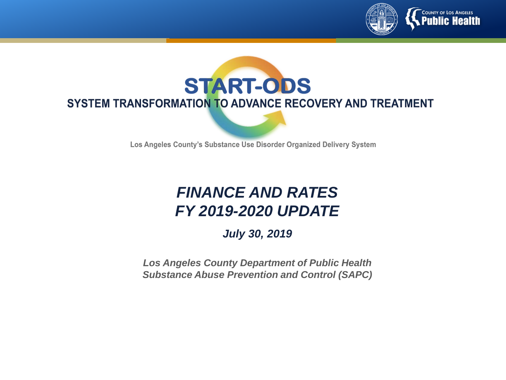



Los Angeles County's Substance Use Disorder Organized Delivery System

#### *FINANCE AND RATES FY 2019-2020 UPDATE*

*July 30, 2019*

*Los Angeles County Department of Public Health Substance Abuse Prevention and Control (SAPC)*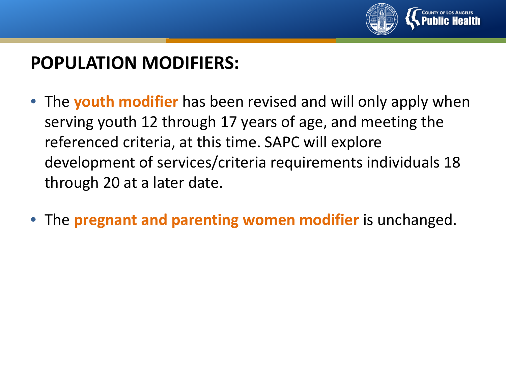

#### **POPULATION MODIFIERS:**

- The **youth modifier** has been revised and will only apply when serving youth 12 through 17 years of age, and meeting the referenced criteria, at this time. SAPC will explore development of services/criteria requirements individuals 18 through 20 at a later date.
- The **pregnant and parenting women modifier** is unchanged.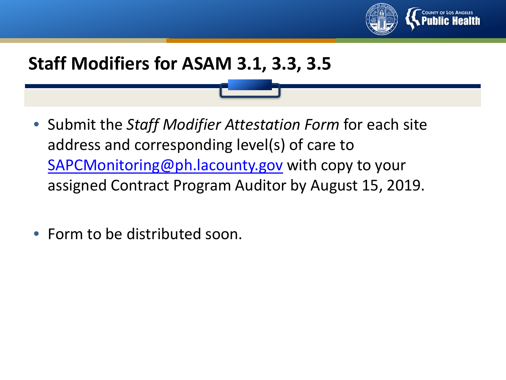

### **Staff Modifiers for ASAM 3.1, 3.3, 3.5**

- Submit the *Staff Modifier Attestation Form* for each site address and corresponding level(s) of care to [SAPCMonitoring@ph.lacounty.gov](mailto:SAPCMonitoring@ph.lacounty.gov) with copy to your assigned Contract Program Auditor by August 15, 2019.
- Form to be distributed soon.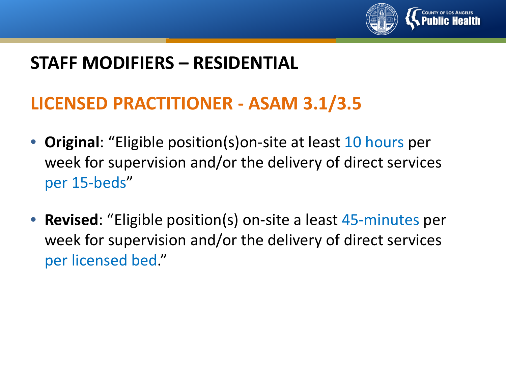

### **LICENSED PRACTITIONER - ASAM 3.1/3.5**

- **Original**: "Eligible position(s)on-site at least 10 hours per week for supervision and/or the delivery of direct services per 15-beds"
- **Revised**: "Eligible position(s) on-site a least 45-minutes per week for supervision and/or the delivery of direct services per licensed bed."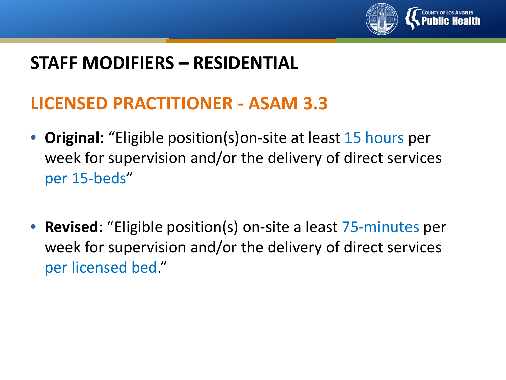

### **LICENSED PRACTITIONER - ASAM 3.3**

- **Original**: "Eligible position(s)on-site at least 15 hours per week for supervision and/or the delivery of direct services per 15-beds"
- **Revised**: "Eligible position(s) on-site a least 75-minutes per week for supervision and/or the delivery of direct services per licensed bed."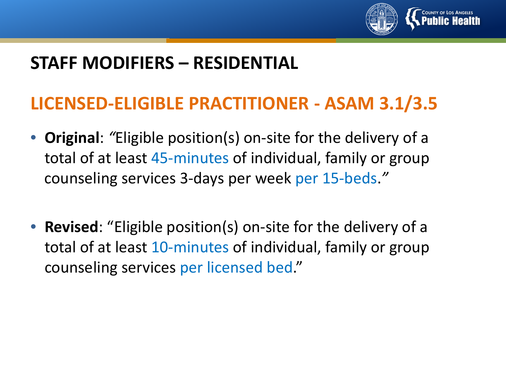

#### **LICENSED-ELIGIBLE PRACTITIONER - ASAM 3.1/3.5**

- **Original**: *"*Eligible position(s) on-site for the delivery of a total of at least 45-minutes of individual, family or group counseling services 3-days per week per 15-beds.*"*
- **Revised**: "Eligible position(s) on-site for the delivery of a total of at least 10-minutes of individual, family or group counseling services per licensed bed."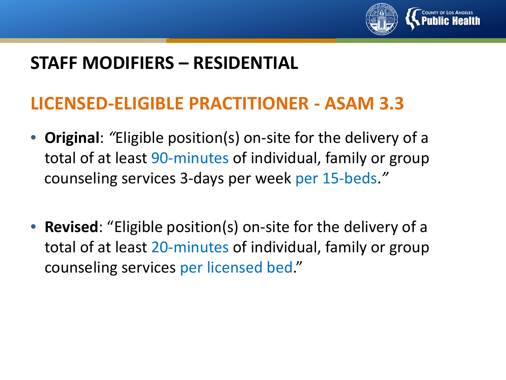

#### **LICENSED-ELIGIBLE PRACTITIONER - ASAM 3.3**

- **Original**: *"*Eligible position(s) on-site for the delivery of a total of at least 90-minutes of individual, family or group counseling services 3-days per week per 15-beds.*"*
- **Revised**: "Eligible position(s) on-site for the delivery of a total of at least 20-minutes of individual, family or group counseling services per licensed bed."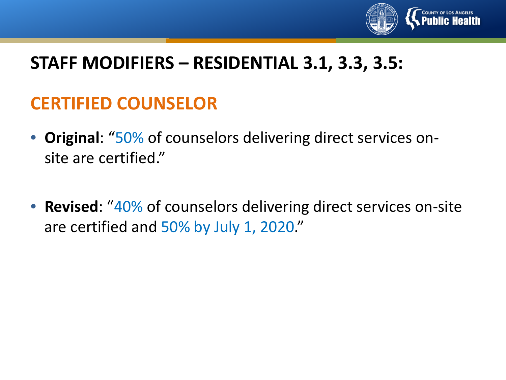

#### **STAFF MODIFIERS – RESIDENTIAL 3.1, 3.3, 3.5:**

## **CERTIFIED COUNSELOR**

- **Original**: "50% of counselors delivering direct services onsite are certified."
- **Revised**: "40% of counselors delivering direct services on-site are certified and 50% by July 1, 2020."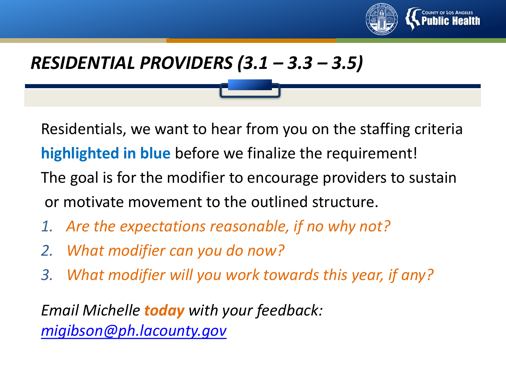

### *RESIDENTIAL PROVIDERS (3.1 – 3.3 – 3.5)*

Residentials, we want to hear from you on the staffing criteria **highlighted in blue** before we finalize the requirement!

- The goal is for the modifier to encourage providers to sustain or motivate movement to the outlined structure.
- *1. Are the expectations reasonable, if no why not?*
- *2. What modifier can you do now?*
- *3. What modifier will you work towards this year, if any?*

*Email Michelle today with your feedback: [migibson@ph.lacounty.gov](mailto:migibson@ph.lacounty.gov)*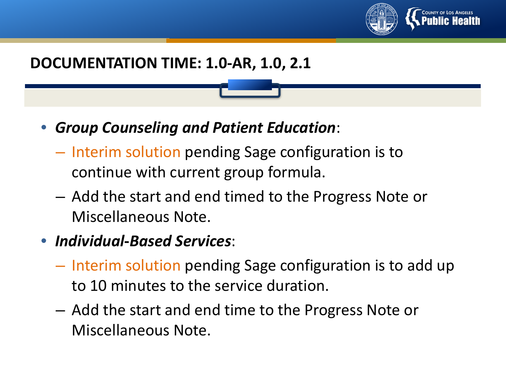

#### **DOCUMENTATION TIME: 1.0-AR, 1.0, 2.1**

- *Group Counseling and Patient Education*:
	- Interim solution pending Sage configuration is to continue with current group formula.
	- Add the start and end timed to the Progress Note or Miscellaneous Note.
- *Individual***-***Based Services*:
	- Interim solution pending Sage configuration is to add up to 10 minutes to the service duration.
	- Add the start and end time to the Progress Note or Miscellaneous Note.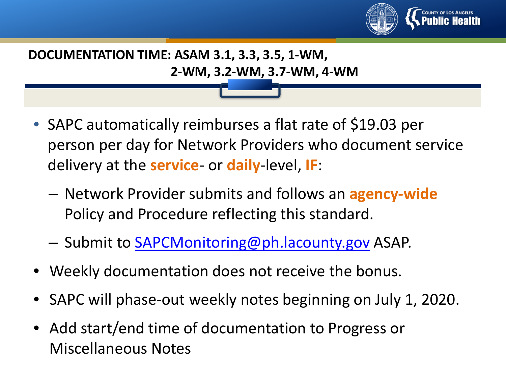

## **DOCUMENTATION TIME: ASAM 3.1, 3.3, 3.5, 1-WM, 2-WM, 3.2-WM, 3.7-WM, 4-WM**

- SAPC automatically reimburses a flat rate of \$19.03 per person per day for Network Providers who document service delivery at the **service**- or **daily**-level, **IF**:
	- Network Provider submits and follows an **agency-wide**  Policy and Procedure reflecting this standard.
	- Submit to [SAPCMonitoring@ph.lacounty.gov](mailto:SAPCMonitoring@ph.lacounty.gov) ASAP.
- Weekly documentation does not receive the bonus.
- SAPC will phase-out weekly notes beginning on July 1, 2020.
- Add start/end time of documentation to Progress or Miscellaneous Notes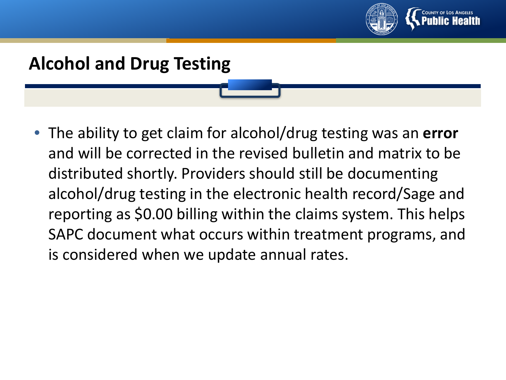

# **Alcohol and Drug Testing**

• The ability to get claim for alcohol/drug testing was an **error**  and will be corrected in the revised bulletin and matrix to be distributed shortly. Providers should still be documenting alcohol/drug testing in the electronic health record/Sage and reporting as \$0.00 billing within the claims system. This helps SAPC document what occurs within treatment programs, and is considered when we update annual rates.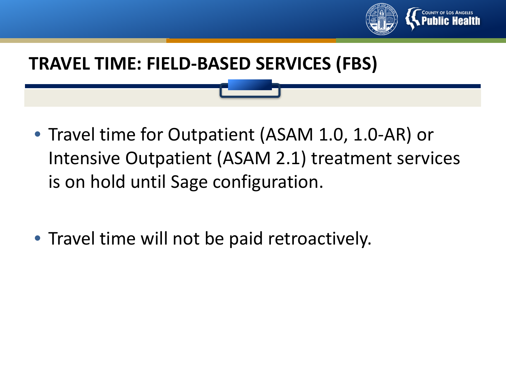

#### **TRAVEL TIME: FIELD-BASED SERVICES (FBS)**

- Travel time for Outpatient (ASAM 1.0, 1.0-AR) or Intensive Outpatient (ASAM 2.1) treatment services is on hold until Sage configuration.
- Travel time will not be paid retroactively.